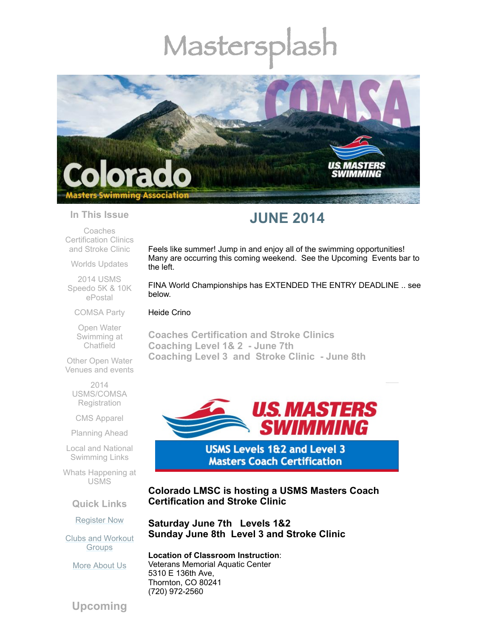# Mastersplash



#### **In This Issue**

Coaches [Certification](#page-0-0) Clinics and Stroke Clinic

Worlds [Updates](#page-1-0)

2014 USMS [Speedo](#page-2-0) 5K & 10K ePostal

## [COMSA](#page-3-0) Party

Open Water [Swimming](#page-3-1) at Chatfield

Other Open Water [Venues](#page-3-2) and events

> 2014 [USMS/COMSA](#page-4-0) **Registration**

CMS [Apparel](#page-4-1)

[Planning](#page-5-0) Ahead

Local and National [Swimming](#page-5-1) Links

Whats [Happening](#page-5-2) at USMS

**Quick Links**

[Register](http://comsa.org/joining/index.html) Now

Clubs and [Workout](http://comsa.org/clubs/index.html) **Groups** 

More [About](http://comsa.org/) Us

## **JUNE 2014**

Feels like summer! Jump in and enjoy all of the swimming opportunities! Many are occurring this coming weekend. See the Upcoming Events bar to the left.

FINA World Championships has EXTENDED THE ENTRY DEADLINE .. see below.

Heide Crino

<span id="page-0-0"></span>**Coaches Certification and Stroke Clinics Coaching Level 1& 2 - June 7th Coaching Level 3 and Stroke Clinic - June 8th**



**USMS Levels 1&2 and Level 3 Masters Coach Certification** 

**Colorado LMSC is hosting a USMS Masters Coach Certification and Stroke Clinic** 

**Saturday June 7th Levels 1&2 Sunday June 8th Level 3 and Stroke Clinic**

**Location of Classroom Instruction**: Veterans Memorial Aquatic Center 5310 E 136th Ave, Thornton, CO 80241 (720) 972-2560

**Upcoming**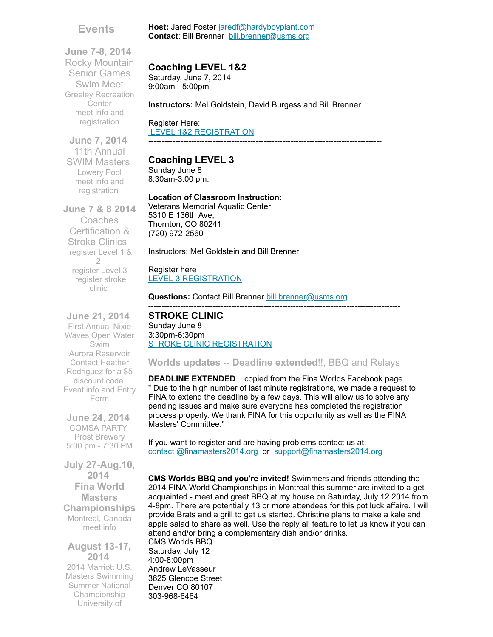## **Events**

**June 7-8, 2014** Rocky Mountain Senior Games Swim Meet Greeley Recreation Center meet info and [registration](http://rockymountainseniorgames.com/registration.html)

**June 7, 2014** 11th Annual SWIM Masters Lowery Pool meet info and [registration](http://www.comsa.org/events/2014%20pool/2014SWMMastersInvite.pdf?c=1279&smid=5102)

**June 7 & 8 2014** Coaches Certification & Stroke Clinics [register](https://www.clubassistant.com/club/clinics/reserve.cfm?c=1758&cid=60899) Level 1 & 2 [register](https://www.clubassistant.com/club/clinics/reserve.cfm?c=1758&cid=60900) Level 3 [register](https://www.clubassistant.com/club/clinics/reserve.cfm?c=1758&cid=61324) stroke clinic

**June 21, 2014** First Annual Nixie Waves Open Water Swim Aurora Reservoir Contact Heather [Rodriguez](mailto:1969mermaid@gmail.com) for a \$5 discount code [Event](http://www.active.com/aurora-co/water-sports/swimming/nixie-waves-open-water-swim-2014) info and Entry Form

**June 24**, **2014** COMSA PARTY Prost Brewery 5:00 pm - 7:30 PM

**July 27-Aug.10, 2014 Fina World Masters Championships** Montreal, Canada [meet](http://finamasters2014.org/home/) info

**August 13-17, 2014** 2014 Marriott U.S. Masters Swimming Summer National Championship University of

## **Coaching LEVEL 1&2**

Saturday, June 7, 2014 9:00am - 5:00pm

**Instructors:** Mel Goldstein, David Burgess and Bill Brenner

Host: Jared Foster [jaredf@hardyboyplant.com](mailto:jaredf@hardyboyplant.com) **Contact**: Bill Brenner [bill.brenner@usms.org](mailto:bill.brenner@usms.org)

Register Here: LEVEL 1&2 [REGISTRATION](https://www.clubassistant.com/club/clinics/reserve.cfm?c=1758&cid=60899) **---------------------------------------------------------------------------------------**

## **Coaching LEVEL 3**

Sunday June 8 8:30am-3:00 pm.

#### **Location of Classroom Instruction:**

Veterans Memorial Aquatic Center 5310 E 136th Ave, Thornton, CO 80241 (720) 972-2560

Instructors: Mel Goldstein and Bill Brenner

Register here LEVEL 3 [REGISTRATION](https://www.clubassistant.com/club/clinics/reserve.cfm?c=1758&cid=60900)

**Questions:** Contact Bill Brenner [bill.brenner@usms.org](mailto:bill.brenner@usms.org)

#### **STROKE CLINIC**  Sunday June 8 3:30pm-6:30pm **STROKE CLINIC [REGISTRATION](https://www.clubassistant.com/club/clinics/reserve.cfm?c=1758&cid=61324)**

<span id="page-1-0"></span>**Worlds updates** -- **Deadline extended**!!, BBQ and Relays

----------------------------------------------------------------------------------------------

**DEADLINE EXTENDED**... copied from the Fina Worlds Facebook page. " Due to the high number of last minute registrations, we made a request to FINA to extend the deadline by a few days. This will allow us to solve any pending issues and make sure everyone has completed the registration process properly. We thank FINA for this opportunity as well as the FINA Masters' Committee."

If you want to register and are having problems contact us at: contact [@finamasters2014.org](http://contact%20@finamasters2014.org/) or [support@finamasters2014.org](http://support@finamasters2014.org/)

**CMS Worlds BBQ and you're invited!** Swimmers and friends attending the 2014 FINA World Championships in Montreal this summer are invited to a get acquainted - meet and greet BBQ at my house on Saturday, July 12 2014 from 4-8pm. There are potentially 13 or more attendees for this pot luck affaire. I will provide Brats and a grill to get us started. Christine plans to make a kale and apple salad to share as well. Use the reply all feature to let us know if you can attend and/or bring a complementary dish and/or drinks.

CMS Worlds BBQ Saturday, July 12 4:00-8:00pm Andrew LeVasseur 3625 Glencoe Street Denver CO 80107 303-968-6464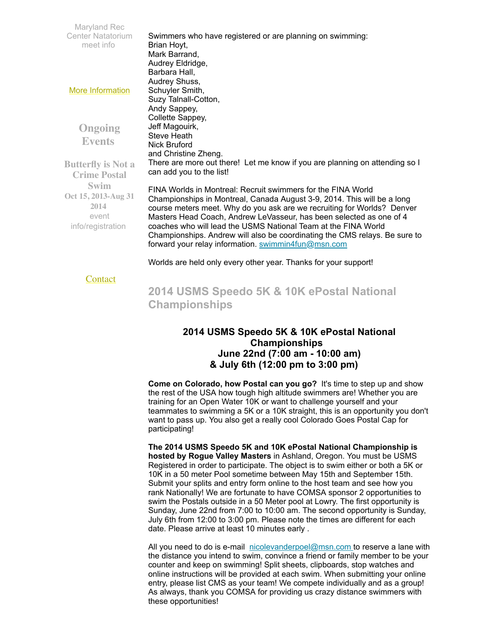Maryland Rec Center Natatorium [meet](http://www.usms.org/comp/lcnats14/) info More [Information](http://www.comsa.org/) **Ongoing Events Butterfly is Not a Crime Postal Swim Oct 15, 2013-Aug 31 2014** event [info/registration](http://swimflyfast.com/) Swimmers who have registered or are planning on swimming: Brian Hoyt, Mark Barrand, Audrey Eldridge, Barbara Hall, Audrey Shuss, Schuyler Smith, Suzy Talnall-Cotton, Andy Sappey, Collette Sappey, Jeff Magouirk, Steve Heath Nick Bruford and Christine Zheng. There are more out there! Let me know if you are planning on attending so I can add you to the list! FINA Worlds in Montreal: Recruit swimmers for the FINA World Championships in Montreal, Canada August 3-9, 2014. This will be a long course meters meet. Why do you ask are we recruiting for Worlds? Denver Masters Head Coach, Andrew LeVasseur, has been selected as one of 4 coaches who will lead the USMS National Team at the FINA World Championships. Andrew will also be coordinating the CMS relays. Be sure to forward your relay information. [swimmin4fun@msn.com](mailto:swimmin4fun@msn.com)

Worlds are held only every other year. Thanks for your support!

## **[Contact](mailto:heidecrino@gmail.com?)**

<span id="page-2-0"></span>**2014 USMS Speedo 5K & 10K ePostal National Championships**

## **2014 USMS Speedo 5K & 10K ePostal National Championships June 22nd (7:00 am - 10:00 am) & July 6th (12:00 pm to 3:00 pm)**

**Come on Colorado, how Postal can you go?** It's time to step up and show the rest of the USA how tough high altitude swimmers are! Whether you are training for an Open Water 10K or want to challenge yourself and your teammates to swimming a 5K or a 10K straight, this is an opportunity you don't want to pass up. You also get a really cool Colorado Goes Postal Cap for participating!

**The 2014 USMS Speedo 5K and 10K ePostal National Championship is hosted by Rogue Valley Masters** in Ashland, Oregon. You must be USMS Registered in order to participate. The object is to swim either or both a 5K or 10K in a 50 meter Pool sometime between May 15th and September 15th. Submit your splits and entry form online to the host team and see how you rank Nationally! We are fortunate to have COMSA sponsor 2 opportunities to swim the Postals outside in a 50 Meter pool at Lowry. The first opportunity is Sunday, June 22nd from 7:00 to 10:00 am. The second opportunity is Sunday, July 6th from 12:00 to 3:00 pm. Please note the times are different for each date. Please arrive at least 10 minutes early .

All you need to do is e-mail [nicolevanderpoel@msn.com](mailto:nicolevanderpoel@msn.com) to reserve a lane with the distance you intend to swim, convince a friend or family member to be your counter and keep on swimming! Split sheets, clipboards, stop watches and online instructions will be provided at each swim. When submitting your online entry, please list CMS as your team! We compete individually and as a group! As always, thank you COMSA for providing us crazy distance swimmers with these opportunities!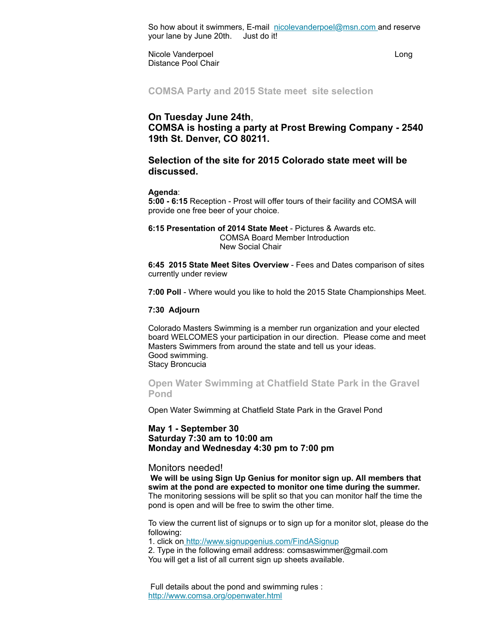So how about it swimmers, E-mail [nicolevanderpoel@msn.com](mailto:nicolevanderpoel@msn.com) and reserve your lane by June 20th. Just do it!

Nicole Vanderpoel and the Congress of Long Long Distance Pool Chair

<span id="page-3-0"></span>**COMSA Party and 2015 State meet site selection**

## **On Tuesday June 24th**, **COMSA is hosting a party at Prost Brewing Company - 2540 19th St. Denver, CO 80211.**

## **Selection of the site for 2015 Colorado state meet will be discussed.**

#### **Agenda**:

**5:00 - 6:15** Reception - Prost will offer tours of their facility and COMSA will provide one free beer of your choice.

#### **6:15 Presentation of 2014 State Meet** - Pictures & Awards etc. COMSA Board Member Introduction New Social Chair

**6:45 2015 State Meet Sites Overview** - Fees and Dates comparison of sites currently under review

**7:00 Poll** - Where would you like to hold the 2015 State Championships Meet.

#### **7:30 Adjourn**

Colorado Masters Swimming is a member run organization and your elected board WELCOMES your participation in our direction. Please come and meet Masters Swimmers from around the state and tell us your ideas. Good swimming. Stacy Broncucia

<span id="page-3-1"></span>**Open Water Swimming at Chatfield State Park in the Gravel Pond**

Open Water Swimming at Chatfield State Park in the Gravel Pond

#### **May 1 - September 30 Saturday 7:30 am to 10:00 am Monday and Wednesday 4:30 pm to 7:00 pm**

#### Monitors needed!

**We will be using Sign Up Genius for monitor sign up. All members that swim at the pond are expected to monitor one time during the summer.** The monitoring sessions will be split so that you can monitor half the time the pond is open and will be free to swim the other time.

To view the current list of signups or to sign up for a monitor slot, please do the following:

1. click on <http://www.signupgenius.com/FindASignup>

2. Type in the following email address: comsaswimmer@gmail.com You will get a list of all current sign up sheets available.

<span id="page-3-2"></span>Full details about the pond and swimming rules : <http://www.comsa.org/openwater.html>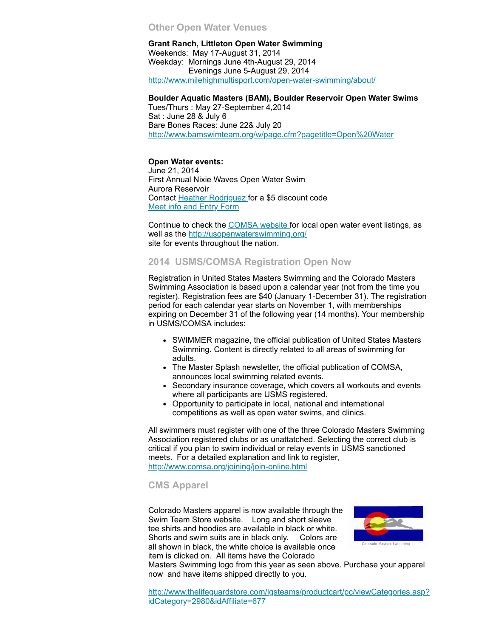#### **Other Open Water Venues**

**Grant Ranch, Littleton Open Water Swimming** Weekends: May 17-August 31, 2014 Weekday: Mornings June 4th-August 29, 2014 Evenings June 5-August 29, 2014 <http://www.milehighmultisport.com/open-water-swimming/about/>

#### **Boulder Aquatic Masters (BAM), Boulder Reservoir Open Water Swims**

Tues/Thurs : May 27-September 4,2014 Sat : June 28 & July 6 Bare Bones Races: June 22& July 20 <http://www.bamswimteam.org/w/page.cfm?pagetitle=Open%20Water>

#### **Open Water events:**

June 21, 2014 First Annual Nixie Waves Open Water Swim Aurora Reservoir Contact Heather [Rodriguez](mailto:1969mermaid@gmail.com) for a \$5 discount code Meet info and [Entry](http://www.active.com/aurora-co/water-sports/swimming/nixie-waves-open-water-swim-2014) Form

Continue to check the [COMSA](http://www.comsa.org/openwater.html) website for local open water event listings, as well as the [http://usopenwaterswimming.org/](http://usopenwaterswimming.org/%20) site for events throughout the nation.

## <span id="page-4-0"></span>**2014 USMS/COMSA Registration Open Now**

Registration in United States Masters Swimming and the Colorado Masters Swimming Association is based upon a calendar year (not from the time you register). Registration fees are \$40 (January 1-December 31). The registration period for each calendar year starts on November 1, with memberships expiring on December 31 of the following year (14 months). Your membership in USMS/COMSA includes:

- SWIMMER magazine, the official publication of United States Masters Swimming. Content is directly related to all areas of swimming for adults.
- The Master Splash newsletter, the official publication of COMSA, announces local swimming related events.
- Secondary insurance coverage, which covers all workouts and events where all participants are USMS registered.
- Opportunity to participate in local, national and international competitions as well as open water swims, and clinics.

All swimmers must register with one of the three Colorado Masters Swimming Association registered clubs or as unattatched. Selecting the correct club is critical if you plan to swim individual or relay events in USMS sanctioned meets. For a detailed explanation and link to register, <http://www.comsa.org/joining/join-online.html>

## <span id="page-4-1"></span>**CMS Apparel**

Colorado Masters apparel is now available through the Swim Team Store website. Long and short sleeve tee shirts and hoodies are available in black or white. Shorts and swim suits are in black only. Colors are all shown in black, the white choice is available once item is clicked on. All items have the Colorado



Masters Swimming logo from this year as seen above. Purchase your apparel now and have items shipped directly to you.

[http://www.thelifeguardstore.com/lgsteams/productcart/pc/viewCategories.asp?](http://www.thelifeguardstore.com/lgsteams/productcart/pc/viewCategories.asp?idCategory=2980&idAffiliate=677) idCategory=2980&idAffiliate=677